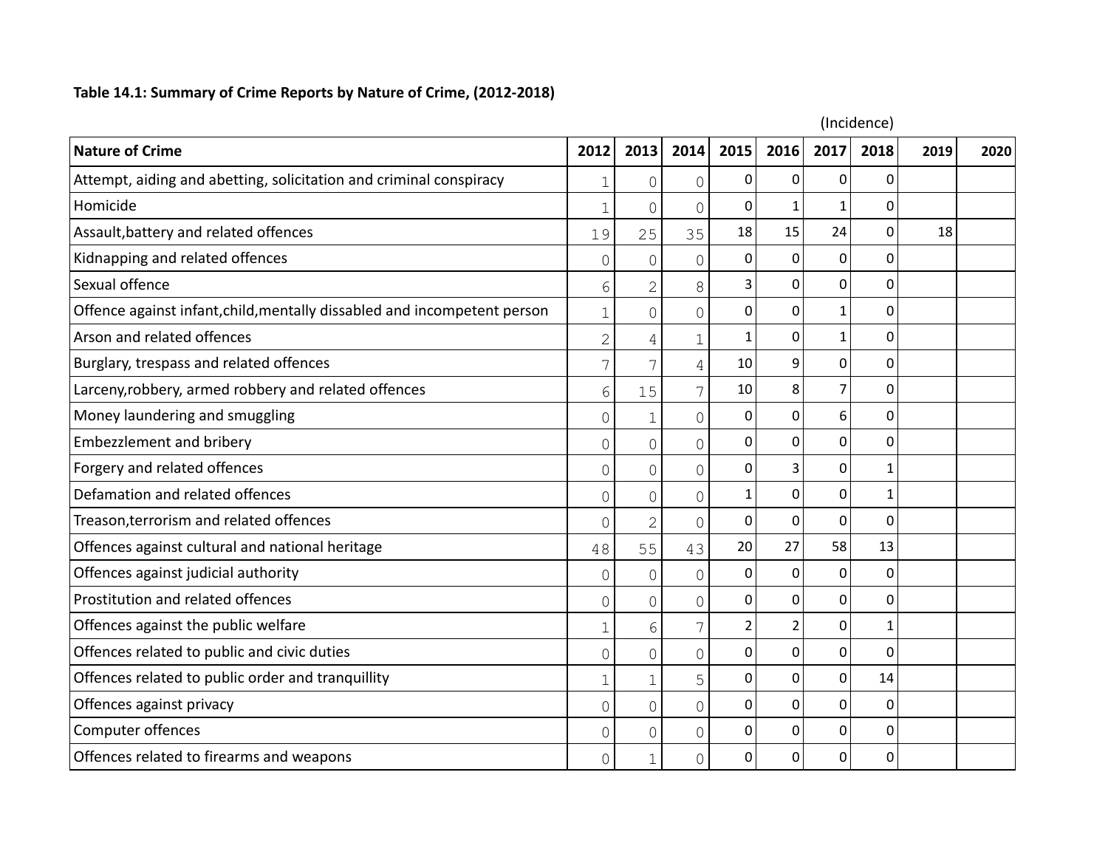## **Table 14.1: Summary of Crime Reports by Nature of Crime, (2012-2018)**

| (Incidence)                                                              |                |                |                |              |              |             |              |      |      |
|--------------------------------------------------------------------------|----------------|----------------|----------------|--------------|--------------|-------------|--------------|------|------|
| <b>Nature of Crime</b>                                                   | 2012           | 2013           | 2014           | 2015         | 2016         | 2017        | 2018         | 2019 | 2020 |
| Attempt, aiding and abetting, solicitation and criminal conspiracy       | 1              | 0              | $\Omega$       | 0            | 0            | 0           | 0            |      |      |
| Homicide                                                                 | $\overline{1}$ | $\overline{O}$ | $\mathcal{O}$  | $\Omega$     | 1            | 1           | 0            |      |      |
| Assault, battery and related offences                                    | 19             | 25             | 35             | 18           | 15           | 24          | $\Omega$     | 18   |      |
| Kidnapping and related offences                                          | 0              | $\circ$        | $\Omega$       | 0            | $\Omega$     | $\Omega$    | $\Omega$     |      |      |
| Sexual offence                                                           | 6              | $\overline{2}$ | 8              | 3            | 0            | $\Omega$    | $\Omega$     |      |      |
| Offence against infant, child, mentally dissabled and incompetent person | $\mathbf{1}$   | $\overline{0}$ | $\overline{0}$ | $\Omega$     | 0            | $\mathbf 1$ | $\mathbf 0$  |      |      |
| Arson and related offences                                               | $\overline{2}$ | 4              | $\mathbf 1$    | $\mathbf{1}$ | 0            | 1           | 0            |      |      |
| Burglary, trespass and related offences                                  | 7              | 7              | 4              | 10           | 9            | $\mathbf 0$ | 0            |      |      |
| Larceny, robbery, armed robbery and related offences                     | 6              | 15             | 7              | 10           | 8            | 7           | $\Omega$     |      |      |
| Money laundering and smuggling                                           | $\mathcal{O}$  | $\mathbf 1$    | $\overline{0}$ | 0            | 0            | 6           | 0            |      |      |
| <b>Embezzlement and bribery</b>                                          | $\mathcal{O}$  | $\overline{0}$ | $\overline{0}$ | $\Omega$     | 0            | 0           | 0            |      |      |
| Forgery and related offences                                             | $\mathbf 0$    | $\circ$        | $\mathbf{0}$   | 0            | 3            | 0           | $\mathbf{1}$ |      |      |
| Defamation and related offences                                          | 0              | 0              | $\Omega$       | $\mathbf{1}$ | $\Omega$     | 0           | $\mathbf 1$  |      |      |
| Treason, terrorism and related offences                                  | $\Omega$       | $\overline{2}$ | $\Omega$       | $\Omega$     | 0            | 0           | $\mathbf 0$  |      |      |
| Offences against cultural and national heritage                          | 48             | 55             | 43             | 20           | 27           | 58          | 13           |      |      |
| Offences against judicial authority                                      | 0              | 0              | $\mathbf 0$    | 0            | 0            | 0           | 0            |      |      |
| Prostitution and related offences                                        | 0              | 0              | $\Omega$       | $\Omega$     | $\Omega$     | 0           | $\Omega$     |      |      |
| Offences against the public welfare                                      | 1              | 6              |                | 2            | 2            | 0           | 1            |      |      |
| Offences related to public and civic duties                              | 0              | $\overline{O}$ | $\Omega$       | $\Omega$     | $\mathbf{0}$ | 0           | $\mathbf 0$  |      |      |
| Offences related to public order and tranquillity                        | $\mathbf{1}$   | $\mathbf 1$    | 5              | 0            | 0            | 0           | 14           |      |      |
| Offences against privacy                                                 | $\mathbf 0$    | $\overline{0}$ | $\bigcap$      | $\Omega$     | 0            | 0           | $\mathbf 0$  |      |      |
| Computer offences                                                        | 0              | $\circ$        | $\Omega$       | 0            | 0            | 0           | 0            |      |      |
| Offences related to firearms and weapons                                 | $\mathcal{O}$  | $\mathbf 1$    | $\mathcal{O}$  | 0            | 0            | 0           | $\mathbf 0$  |      |      |